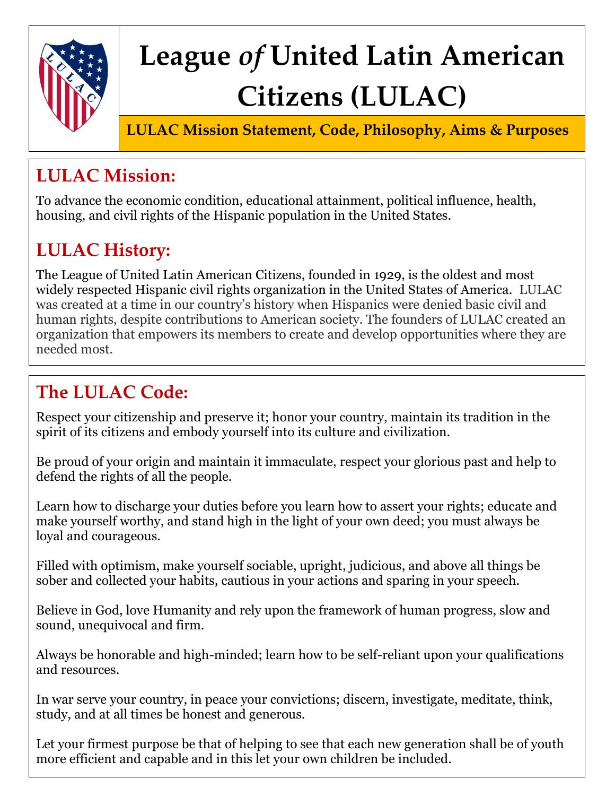

# **League** *of* **United Latin American Citizens (LULAC)**

**LULAC Mission Statement, Code, Philosophy, Aims & Purposes**

## **LULAC Mission:**

To advance the economic condition, educational attainment, political influence, health, housing, and civil rights of the Hispanic population in the United States.

# **LULAC History:**

The League of United Latin American Citizens, founded in 1929, is the oldest and most widely respected Hispanic civil rights organization in the United States of America. LULAC was created at a time in our country's history when Hispanics were denied basic civil and human rights, despite contributions to American society. The founders of LULAC created an organization that empowers its members to create and develop opportunities where they are needed most.

## **The LULAC Code:**

Respect your citizenship and preserve it; honor your country, maintain its tradition in the spirit of its citizens and embody yourself into its culture and civilization.

Be proud of your origin and maintain it immaculate, respect your glorious past and help to defend the rights of all the people.

Learn how to discharge your duties before you learn how to assert your rights; educate and make yourself worthy, and stand high in the light of your own deed; you must always be loyal and courageous.

Filled with optimism, make yourself sociable, upright, judicious, and above all things be sober and collected your habits, cautious in your actions and sparing in your speech.

Believe in God, love Humanity and rely upon the framework of human progress, slow and sound, unequivocal and firm.

Always be honorable and high-minded; learn how to be self-reliant upon your qualifications and resources.

In war serve your country, in peace your convictions; discern, investigate, meditate, think, study, and at all times be honest and generous.

Let your firmest purpose be that of helping to see that each new generation shall be of youth more efficient and capable and in this let your own children be included.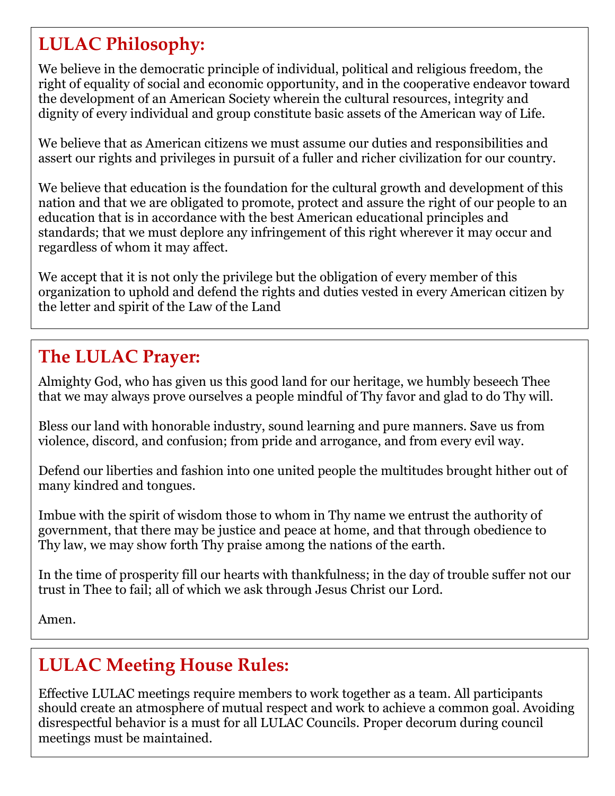### **LULAC Philosophy:**

We believe in the democratic principle of individual, political and religious freedom, the right of equality of social and economic opportunity, and in the cooperative endeavor toward the development of an American Society wherein the cultural resources, integrity and dignity of every individual and group constitute basic assets of the American way of Life.

We believe that as American citizens we must assume our duties and responsibilities and assert our rights and privileges in pursuit of a fuller and richer civilization for our country.

We believe that education is the foundation for the cultural growth and development of this nation and that we are obligated to promote, protect and assure the right of our people to an education that is in accordance with the best American educational principles and standards; that we must deplore any infringement of this right wherever it may occur and regardless of whom it may affect.

We accept that it is not only the privilege but the obligation of every member of this organization to uphold and defend the rights and duties vested in every American citizen by the letter and spirit of the Law of the Land

#### **The LULAC Prayer:**

Almighty God, who has given us this good land for our heritage, we humbly beseech Thee that we may always prove ourselves a people mindful of Thy favor and glad to do Thy will.

Bless our land with honorable industry, sound learning and pure manners. Save us from violence, discord, and confusion; from pride and arrogance, and from every evil way.

Defend our liberties and fashion into one united people the multitudes brought hither out of many kindred and tongues.

Imbue with the spirit of wisdom those to whom in Thy name we entrust the authority of government, that there may be justice and peace at home, and that through obedience to Thy law, we may show forth Thy praise among the nations of the earth.

In the time of prosperity fill our hearts with thankfulness; in the day of trouble suffer not our trust in Thee to fail; all of which we ask through Jesus Christ our Lord.

Amen.

#### **LULAC Meeting House Rules:**

Effective LULAC meetings require members to work together as a team. All participants should create an atmosphere of mutual respect and work to achieve a common goal. Avoiding disrespectful behavior is a must for all LULAC Councils. Proper decorum during council meetings must be maintained.